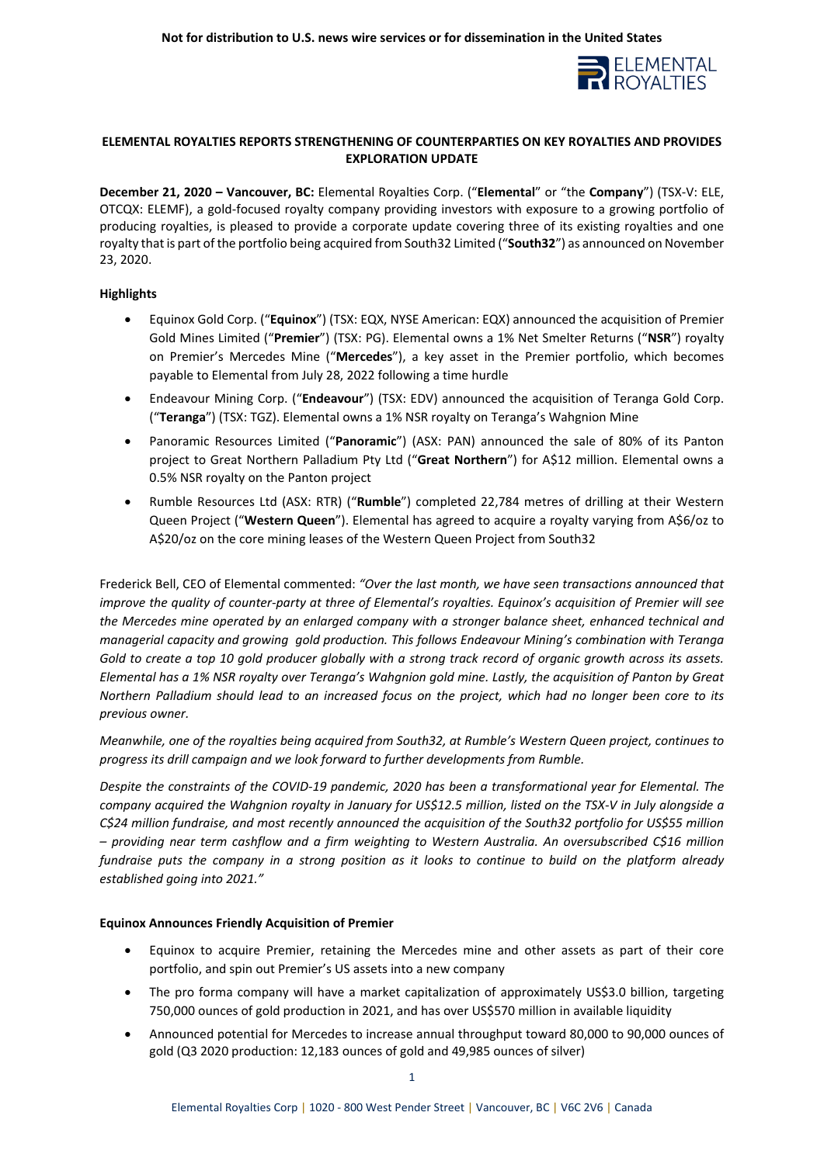

# **ELEMENTAL ROYALTIES REPORTS STRENGTHENING OF COUNTERPARTIES ON KEY ROYALTIES AND PROVIDES EXPLORATION UPDATE**

**December 21, 2020 – Vancouver, BC:** Elemental Royalties Corp. ("**Elemental**" or "the **Company**") (TSX-V: ELE, OTCQX: ELEMF), a gold-focused royalty company providing investors with exposure to a growing portfolio of producing royalties, is pleased to provide a corporate update covering three of its existing royalties and one royalty that is part of the portfolio being acquired from South32 Limited ("**South32**") as announced on November 23, 2020.

## **Highlights**

- Equinox Gold Corp. ("**Equinox**") (TSX: EQX, NYSE American: EQX) announced the acquisition of Premier Gold Mines Limited ("**Premier**") (TSX: PG). Elemental owns a 1% Net Smelter Returns ("**NSR**") royalty on Premier's Mercedes Mine ("**Mercedes**"), a key asset in the Premier portfolio, which becomes payable to Elemental from July 28, 2022 following a time hurdle
- Endeavour Mining Corp. ("**Endeavour**") (TSX: EDV) announced the acquisition of Teranga Gold Corp. ("**Teranga**") (TSX: TGZ). Elemental owns a 1% NSR royalty on Teranga's Wahgnion Mine
- Panoramic Resources Limited ("**Panoramic**") (ASX: PAN) announced the sale of 80% of its Panton project to Great Northern Palladium Pty Ltd ("**Great Northern**") for A\$12 million. Elemental owns a 0.5% NSR royalty on the Panton project
- Rumble Resources Ltd (ASX: RTR) ("**Rumble**") completed 22,784 metres of drilling at their Western Queen Project ("**Western Queen**"). Elemental has agreed to acquire a royalty varying from A\$6/oz to A\$20/oz on the core mining leases of the Western Queen Project from South32

Frederick Bell, CEO of Elemental commented: *"Over the last month, we have seen transactions announced that improve the quality of counter-party at three of Elemental's royalties. Equinox's acquisition of Premier will see the Mercedes mine operated by an enlarged company with a stronger balance sheet, enhanced technical and managerial capacity and growing gold production. This follows Endeavour Mining's combination with Teranga Gold to create a top 10 gold producer globally with a strong track record of organic growth across its assets. Elemental has a 1% NSR royalty over Teranga's Wahgnion gold mine. Lastly, the acquisition of Panton by Great Northern Palladium should lead to an increased focus on the project, which had no longer been core to its previous owner.* 

*Meanwhile, one of the royalties being acquired from South32, at Rumble's Western Queen project, continues to progress its drill campaign and we look forward to further developments from Rumble.*

*Despite the constraints of the COVID-19 pandemic, 2020 has been a transformational year for Elemental. The company acquired the Wahgnion royalty in January for US\$12.5 million, listed on the TSX-V in July alongside a C\$24 million fundraise, and most recently announced the acquisition of the South32 portfolio for US\$55 million – providing near term cashflow and a firm weighting to Western Australia. An oversubscribed C\$16 million fundraise puts the company in a strong position as it looks to continue to build on the platform already established going into 2021."*

## **Equinox Announces Friendly Acquisition of Premier**

- Equinox to acquire Premier, retaining the Mercedes mine and other assets as part of their core portfolio, and spin out Premier's US assets into a new company
- The pro forma company will have a market capitalization of approximately US\$3.0 billion, targeting 750,000 ounces of gold production in 2021, and has over US\$570 million in available liquidity
- Announced potential for Mercedes to increase annual throughput toward 80,000 to 90,000 ounces of gold (Q3 2020 production: 12,183 ounces of gold and 49,985 ounces of silver)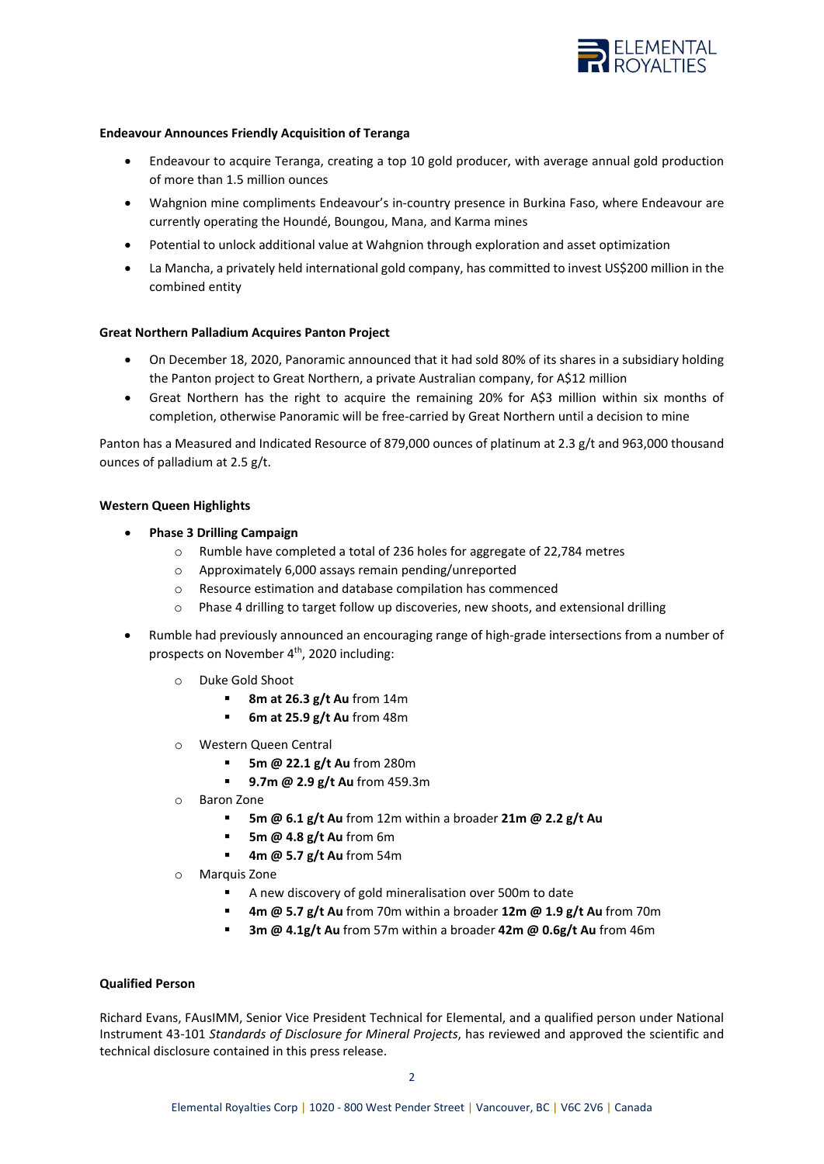

### **Endeavour Announces Friendly Acquisition of Teranga**

- Endeavour to acquire Teranga, creating a top 10 gold producer, with average annual gold production of more than 1.5 million ounces
- Wahgnion mine compliments Endeavour's in-country presence in Burkina Faso, where Endeavour are currently operating the Houndé, Boungou, Mana, and Karma mines
- Potential to unlock additional value at Wahgnion through exploration and asset optimization
- La Mancha, a privately held international gold company, has committed to invest US\$200 million in the combined entity

#### **Great Northern Palladium Acquires Panton Project**

- On December 18, 2020, Panoramic announced that it had sold 80% of its shares in a subsidiary holding the Panton project to Great Northern, a private Australian company, for A\$12 million
- Great Northern has the right to acquire the remaining 20% for A\$3 million within six months of completion, otherwise Panoramic will be free-carried by Great Northern until a decision to mine

Panton has a Measured and Indicated Resource of 879,000 ounces of platinum at 2.3 g/t and 963,000 thousand ounces of palladium at 2.5 g/t.

#### **Western Queen Highlights**

- **Phase 3 Drilling Campaign**
	- o Rumble have completed a total of 236 holes for aggregate of 22,784 metres
	- o Approximately 6,000 assays remain pending/unreported
	- o Resource estimation and database compilation has commenced
	- $\circ$  Phase 4 drilling to target follow up discoveries, new shoots, and extensional drilling
- Rumble had previously announced an encouraging range of high-grade intersections from a number of prospects on November 4<sup>th</sup>, 2020 including:
	- o Duke Gold Shoot
		- **8m at 26.3 g/t Au** from 14m
		- **6m at 25.9 g/t Au** from 48m
	- o Western Queen Central
		- **5m @ 22.1 g/t Au** from 280m
		- **9.7m @ 2.9 g/t Au** from 459.3m
	- o Baron Zone
		- **5m @ 6.1 g/t Au** from 12m within a broader **21m @ 2.2 g/t Au**
		- **5m @ 4.8 g/t Au** from 6m
		- **4m @ 5.7 g/t Au** from 54m
	- o Marquis Zone
		- A new discovery of gold mineralisation over 500m to date
		- **4m @ 5.7 g/t Au** from 70m within a broader **12m @ 1.9 g/t Au** from 70m
		- **3m @ 4.1g/t Au** from 57m within a broader **42m @ 0.6g/t Au** from 46m

#### **Qualified Person**

Richard Evans, FAusIMM, Senior Vice President Technical for Elemental, and a qualified person under National Instrument 43-101 *Standards of Disclosure for Mineral Projects*, has reviewed and approved the scientific and technical disclosure contained in this press release.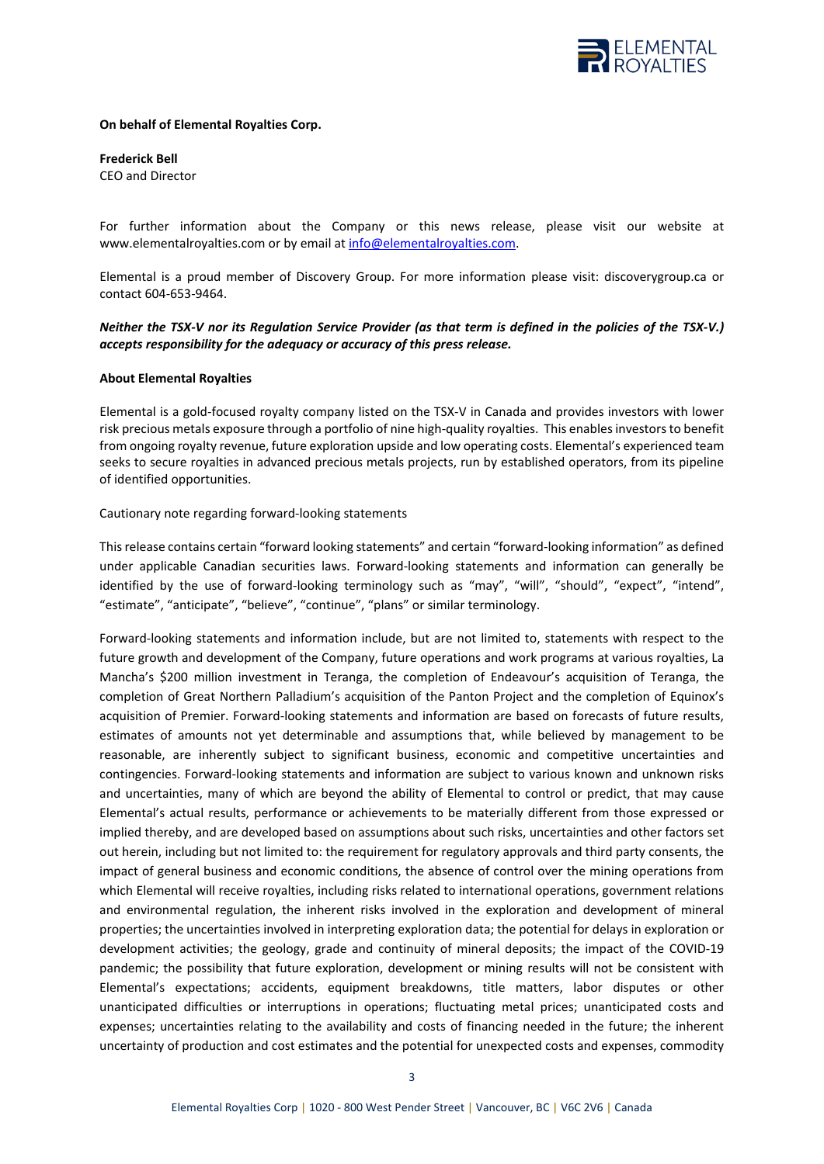

### **On behalf of Elemental Royalties Corp.**

**Frederick Bell** CEO and Director

For further information about the Company or this news release, please visit our website at www.elementalroyalties.com or by email at [info@elementalroyalties.com.](mailto:info@elementalroyalties.com)

Elemental is a proud member of Discovery Group. For more information please visit: discoverygroup.ca or contact 604-653-9464.

# *Neither the TSX-V nor its Regulation Service Provider (as that term is defined in the policies of the TSX-V.) accepts responsibility for the adequacy or accuracy of this press release.*

#### **About Elemental Royalties**

Elemental is a gold-focused royalty company listed on the TSX-V in Canada and provides investors with lower risk precious metals exposure through a portfolio of nine high-quality royalties. This enables investors to benefit from ongoing royalty revenue, future exploration upside and low operating costs. Elemental's experienced team seeks to secure royalties in advanced precious metals projects, run by established operators, from its pipeline of identified opportunities.

#### Cautionary note regarding forward-looking statements

This release contains certain "forward looking statements" and certain "forward-looking information" as defined under applicable Canadian securities laws. Forward-looking statements and information can generally be identified by the use of forward-looking terminology such as "may", "will", "should", "expect", "intend", "estimate", "anticipate", "believe", "continue", "plans" or similar terminology.

Forward-looking statements and information include, but are not limited to, statements with respect to the future growth and development of the Company, future operations and work programs at various royalties, La Mancha's \$200 million investment in Teranga, the completion of Endeavour's acquisition of Teranga, the completion of Great Northern Palladium's acquisition of the Panton Project and the completion of Equinox's acquisition of Premier. Forward-looking statements and information are based on forecasts of future results, estimates of amounts not yet determinable and assumptions that, while believed by management to be reasonable, are inherently subject to significant business, economic and competitive uncertainties and contingencies. Forward-looking statements and information are subject to various known and unknown risks and uncertainties, many of which are beyond the ability of Elemental to control or predict, that may cause Elemental's actual results, performance or achievements to be materially different from those expressed or implied thereby, and are developed based on assumptions about such risks, uncertainties and other factors set out herein, including but not limited to: the requirement for regulatory approvals and third party consents, the impact of general business and economic conditions, the absence of control over the mining operations from which Elemental will receive royalties, including risks related to international operations, government relations and environmental regulation, the inherent risks involved in the exploration and development of mineral properties; the uncertainties involved in interpreting exploration data; the potential for delays in exploration or development activities; the geology, grade and continuity of mineral deposits; the impact of the COVID-19 pandemic; the possibility that future exploration, development or mining results will not be consistent with Elemental's expectations; accidents, equipment breakdowns, title matters, labor disputes or other unanticipated difficulties or interruptions in operations; fluctuating metal prices; unanticipated costs and expenses; uncertainties relating to the availability and costs of financing needed in the future; the inherent uncertainty of production and cost estimates and the potential for unexpected costs and expenses, commodity